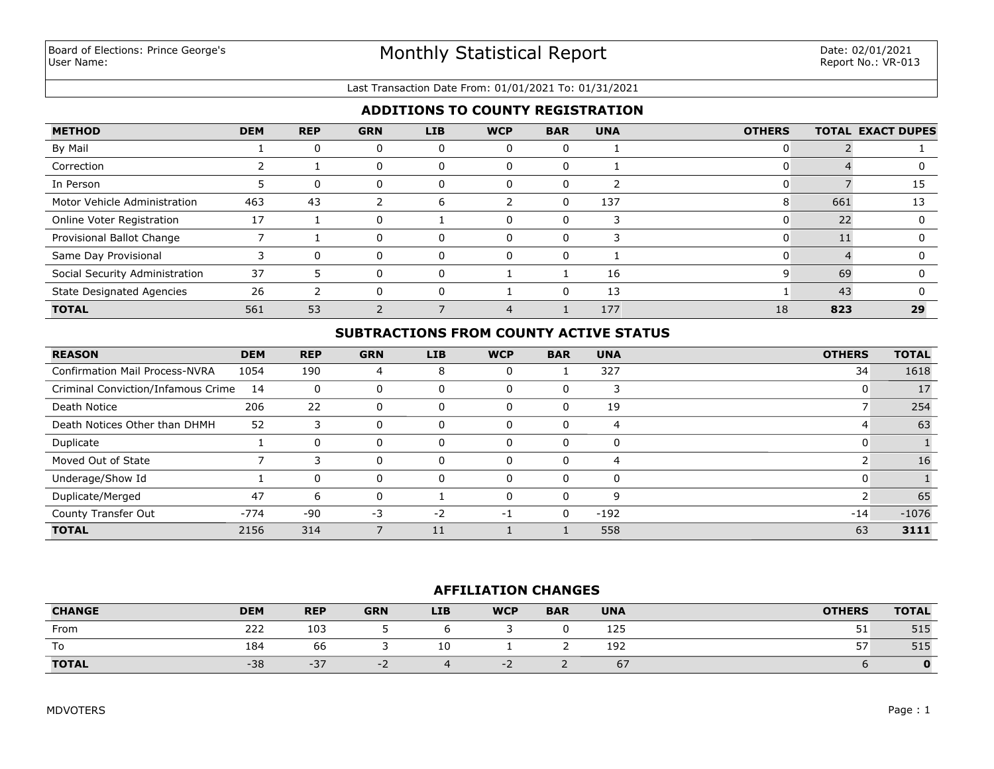### Last Transaction Date From: 01/01/2021 To: 01/31/2021

# **ADDITIONS TO COUNTY REGISTRATION**

| <b>METHOD</b>                    | <b>DEM</b> | <b>REP</b> | <b>GRN</b> | <b>LIB</b>   | <b>WCP</b> | <b>BAR</b> | <b>UNA</b> | <b>OTHERS</b> |     | <b>TOTAL EXACT DUPES</b> |
|----------------------------------|------------|------------|------------|--------------|------------|------------|------------|---------------|-----|--------------------------|
| By Mail                          |            |            | 0          |              |            |            |            |               |     |                          |
| Correction                       |            |            | 0          |              |            |            |            |               |     |                          |
| In Person                        |            | -0         | 0          |              | Ü          |            |            |               |     | 15                       |
| Motor Vehicle Administration     | 463        | 43         |            | <sub>b</sub> |            |            | 137        | 8             | 661 | 13                       |
| Online Voter Registration        | 17         |            | 0          |              |            |            |            |               | 22  |                          |
| Provisional Ballot Change        |            |            | 0          | $\Omega$     | 0          |            |            |               |     |                          |
| Same Day Provisional             |            |            |            |              |            |            |            |               |     |                          |
| Social Security Administration   | 37         |            | 0          |              |            |            | 16         |               | 69  |                          |
| <b>State Designated Agencies</b> | 26         |            | O          |              |            |            | 13         |               | 43  |                          |
| <b>TOTAL</b>                     | 561        | 53         |            |              |            |            | 177        | 18            | 823 | 29                       |

# **SUBTRACTIONS FROM COUNTY ACTIVE STATUS**

| <b>REASON</b>                         | <b>DEM</b> | <b>REP</b> | <b>GRN</b> | <b>LIB</b> | <b>WCP</b> | <b>BAR</b> | <b>UNA</b> | <b>OTHERS</b> | <b>TOTAL</b> |
|---------------------------------------|------------|------------|------------|------------|------------|------------|------------|---------------|--------------|
| <b>Confirmation Mail Process-NVRA</b> | 1054       | 190        | 4          | 8          |            |            | 327        | 34            | 1618         |
| Criminal Conviction/Infamous Crime    | 14         | 0          |            | U          |            | 0          |            | 0             | 17           |
| Death Notice                          | 206        | 22         | 0          | 0          |            | 0          | 19         |               | 254          |
| Death Notices Other than DHMH         | 52         |            | 0          | 0          |            | $\Omega$   | 4          | 4             | 63           |
| Duplicate                             |            | $\Omega$   | 0          | $\Omega$   | $\Omega$   | 0          | $\Omega$   | 0             |              |
| Moved Out of State                    |            |            |            | $\Omega$   |            | $\Omega$   | 4          |               | 16           |
| Underage/Show Id                      |            | $\Omega$   | 0          | 0          |            | 0          | $\Omega$   | 0             |              |
| Duplicate/Merged                      | 47         | 6          |            |            |            | 0          | q          |               | 65           |
| County Transfer Out                   | $-774$     | $-90$      | $-3$       | $-2$       | -1         | $\Omega$   | $-192$     | $-14$         | $-1076$      |
| <b>TOTAL</b>                          | 2156       | 314        |            | 11         |            |            | 558        | 63            | 3111         |

### **AFFILIATION CHANGES**

| <b>CHANGE</b> | <b>DEM</b> | <b>REP</b> | <b>GRN</b> | <b>LIB</b> | <b>WCP</b> | <b>BAR</b> | <b>UNA</b>                     | <b>OTHERS</b> | <b>TOTAL</b> |
|---------------|------------|------------|------------|------------|------------|------------|--------------------------------|---------------|--------------|
| From          | 222        | 103        |            |            |            |            | 125                            | ـ ر           | 515          |
| To            | 184        | 66         |            | 10         |            |            | 192                            | --<br>، ب     | 515          |
| <b>TOTAL</b>  | $-38$      | $-37$      | -          |            | TZ.        |            | $\overline{\phantom{a}}$<br>6/ |               |              |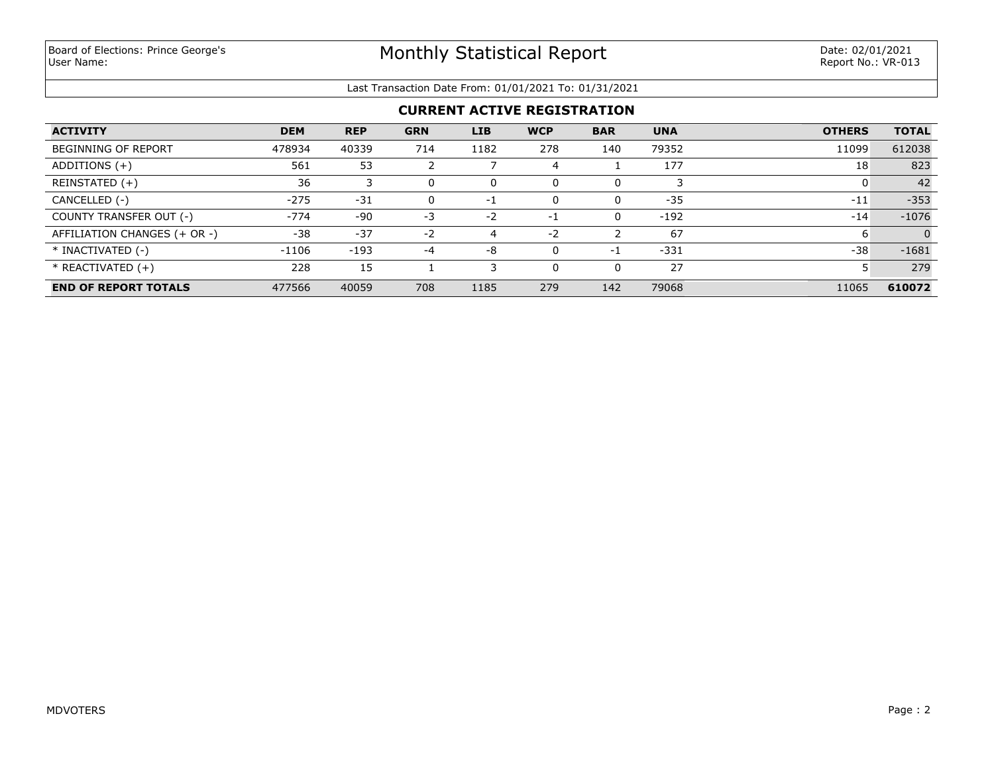## Last Transaction Date From: 01/01/2021 To: 01/31/2021

| <b>ACTIVITY</b>              | <b>DEM</b> | <b>REP</b> | <b>GRN</b> | <b>LIB</b> | <b>WCP</b> | <b>BAR</b> | <b>UNA</b> | <b>OTHERS</b> | <b>TOTAL</b> |
|------------------------------|------------|------------|------------|------------|------------|------------|------------|---------------|--------------|
| <b>BEGINNING OF REPORT</b>   | 478934     | 40339      | 714        | 1182       | 278        | 140        | 79352      | 11099         | 612038       |
| ADDITIONS (+)                | 561        | 53         |            |            | 4          |            | 177        | 18            | 823          |
| REINSTATED (+)               | 36         |            | 0          |            | $\Omega$   | 0          |            |               | 42           |
| CANCELLED (-)                | $-275$     | $-31$      | 0          | $-1$       | $\Omega$   | 0          | $-35$      | $-11$         | $-353$       |
| COUNTY TRANSFER OUT (-)      | $-774$     | -90        | -3         | $-2$       | $-1$       | 0          | $-192$     | $-14$         | $-1076$      |
| AFFILIATION CHANGES (+ OR -) | $-38$      | $-37$      | $-2$       | 4          | $-2$       |            | 67         | 6             | $\Omega$     |
| * INACTIVATED (-)            | $-1106$    | $-193$     | -4         | -8         | $\Omega$   | -1         | $-331$     | $-38$         | $-1681$      |
| $*$ REACTIVATED $(+)$        | 228        | 15         |            |            | $\Omega$   | 0          | 27         |               | 279          |
| <b>END OF REPORT TOTALS</b>  | 477566     | 40059      | 708        | 1185       | 279        | 142        | 79068      | 11065         | 610072       |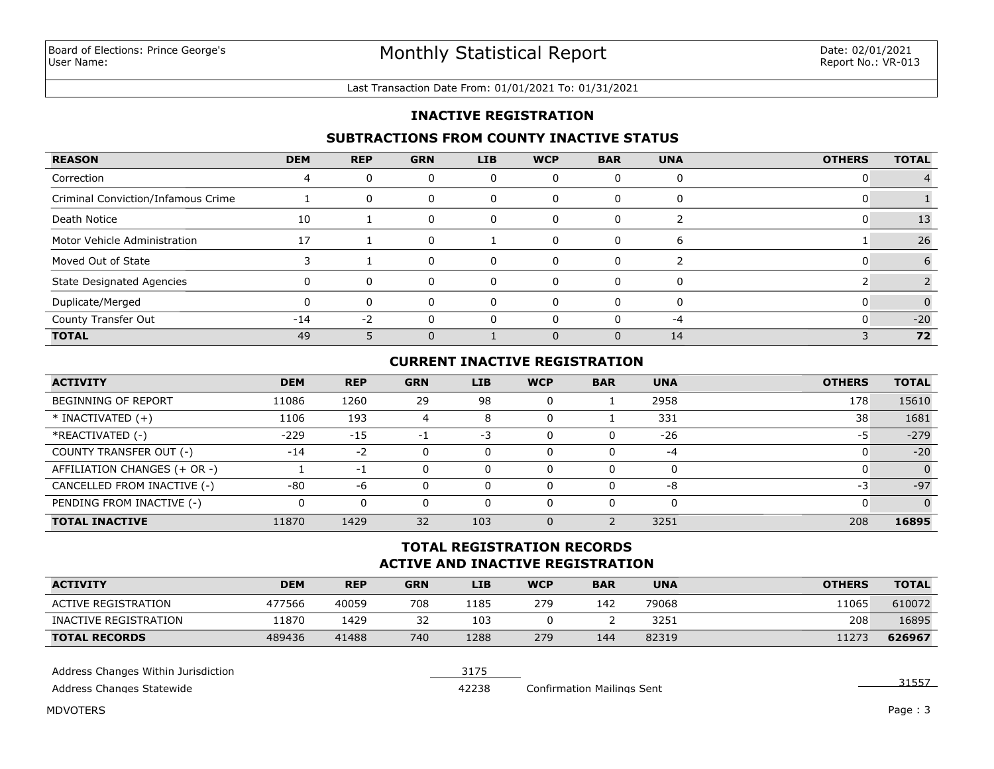#### Last Transaction Date From: 01/01/2021 To: 01/31/2021

## **INACTIVE REGISTRATION**

## **SUBTRACTIONS FROM COUNTY INACTIVE STATUS**

| <b>REASON</b>                      | <b>DEM</b> | <b>REP</b> | <b>GRN</b> | <b>LIB</b> | <b>WCP</b> | <b>BAR</b> | <b>UNA</b> | <b>OTHERS</b> | <b>TOTAL</b> |
|------------------------------------|------------|------------|------------|------------|------------|------------|------------|---------------|--------------|
| Correction                         |            | 0          | 0          |            |            |            |            |               |              |
| Criminal Conviction/Infamous Crime |            | 0          | 0          |            | O          | $\Omega$   |            |               |              |
| Death Notice                       | 10         |            | 0          | O          | O          | $\Omega$   |            |               | 13           |
| Motor Vehicle Administration       | 17         |            | 0          |            |            |            | b          |               | 26           |
| Moved Out of State                 |            |            | 0          |            |            |            |            |               |              |
| <b>State Designated Agencies</b>   |            | $\Omega$   | $\Omega$   |            |            |            |            |               |              |
| Duplicate/Merged                   |            | 0          | $\Omega$   |            | n          | $\Omega$   |            |               |              |
| County Transfer Out                | $-14$      | $-2$       |            |            |            |            | -4         |               | $-20$        |
| <b>TOTAL</b>                       | 49         |            | $\Omega$   |            |            | $\Omega$   | 14         |               | 72           |

# **CURRENT INACTIVE REGISTRATION**

| <b>ACTIVITY</b>              | <b>DEM</b> | <b>REP</b> | <b>GRN</b> | <b>LIB</b> | <b>WCP</b> | <b>BAR</b> | <b>UNA</b> | <b>OTHERS</b> | <b>TOTAL</b> |
|------------------------------|------------|------------|------------|------------|------------|------------|------------|---------------|--------------|
| <b>BEGINNING OF REPORT</b>   | 11086      | 1260       | 29         | 98         | 0          |            | 2958       | 178           | 15610        |
| $*$ INACTIVATED $(+)$        | 1106       | 193        | 4          | 8          | 0          |            | 331        | 38            | 1681         |
| *REACTIVATED (-)             | $-229$     | $-15$      | - 1        | $-3$       | $\Omega$   |            | $-26$      | -5            | $-279$       |
| COUNTY TRANSFER OUT (-)      | $-14$      | $-2$       |            | 0          | $\Omega$   |            | $-4$       |               | $-20$        |
| AFFILIATION CHANGES (+ OR -) |            | -1         |            | 0          | 0          |            |            |               | $\Omega$     |
| CANCELLED FROM INACTIVE (-)  | $-80$      | -6         |            | 0          | $\Omega$   |            | -8         | -3            | $-97$        |
| PENDING FROM INACTIVE (-)    |            |            |            |            | $\Omega$   |            |            |               | $\Omega$     |
| <b>TOTAL INACTIVE</b>        | 11870      | 1429       | 32         | 103        | 0          |            | 3251       | 208           | 16895        |

# **ACTIVE AND INACTIVE REGISTRATION TOTAL REGISTRATION RECORDS**

| <b>ACTIVITY</b>       | <b>DEM</b> | <b>REP</b> | <b>GRN</b> | <b>LIB</b> | <b>WCP</b> | <b>BAR</b> | <b>UNA</b> | <b>OTHERS</b> | <b>TOTAL</b> |
|-----------------------|------------|------------|------------|------------|------------|------------|------------|---------------|--------------|
| ACTIVE REGISTRATION   | 477566     | 40059      | 708        | 1185       | 279        | 142        | 79068      | 1065          | 610072       |
| INACTIVE REGISTRATION | 1870       | 1429       | 32         | 103        |            |            | 3251       | 208           | 16895        |
| <b>TOTAL RECORDS</b>  | 489436     | 41488      | 740        | 1288       | 279        | 144        | 82319      | 11273         | 626967       |

| Address Changes Within Jurisdiction |       |                                   |  |
|-------------------------------------|-------|-----------------------------------|--|
| Address Changes Statewide           | 42238 | <b>Confirmation Mailings Sent</b> |  |